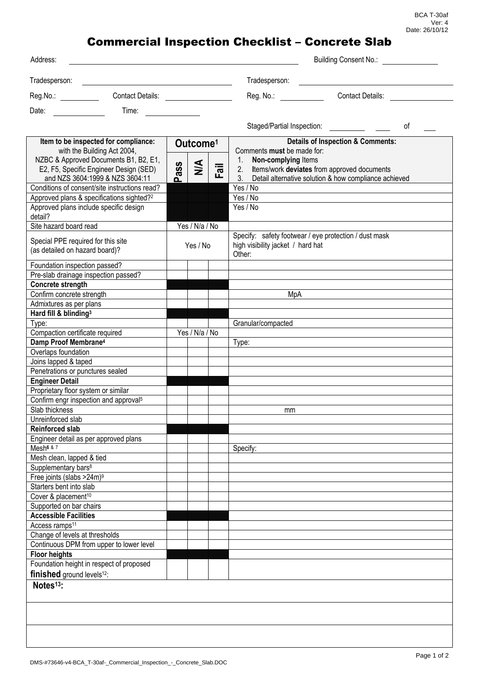## Commercial Inspection Checklist – Concrete Slab

| Address:                                                                                                           |                      |                |      |                                                                                                                                      | Building Consent No.:   |    |
|--------------------------------------------------------------------------------------------------------------------|----------------------|----------------|------|--------------------------------------------------------------------------------------------------------------------------------------|-------------------------|----|
| Tradesperson:                                                                                                      |                      |                |      | Tradesperson:                                                                                                                        |                         |    |
| Reg.No.: Contact Details:                                                                                          |                      |                |      | Reg. No.: <b>Region Communist Property</b>                                                                                           | <b>Contact Details:</b> |    |
| Time: $\qquad \qquad \qquad$<br>Date:                                                                              |                      |                |      |                                                                                                                                      |                         |    |
|                                                                                                                    |                      |                |      |                                                                                                                                      |                         | οf |
| Item to be inspected for compliance:                                                                               | Outcome <sup>1</sup> |                |      | <b>Details of Inspection &amp; Comments:</b>                                                                                         |                         |    |
| with the Building Act 2004,                                                                                        |                      |                |      | Comments must be made for:                                                                                                           |                         |    |
| NZBC & Approved Documents B1, B2, E1,<br>E2, F5, Specific Engineer Design (SED)<br>and NZS 3604:1999 & NZS 3604:11 | ass<br>൨             | $\frac{4}{2}$  | Fail | 1. Non-complying Items<br>2. Items/work deviates from approved documents<br>3. Detail alternative solution & how compliance achieved |                         |    |
| Conditions of consent/site instructions read?                                                                      |                      |                |      | Yes / No                                                                                                                             |                         |    |
| Approved plans & specifications sighted? <sup>2</sup>                                                              |                      |                |      | Yes / No                                                                                                                             |                         |    |
| Approved plans include specific design<br>detail?                                                                  |                      |                |      | Yes / No                                                                                                                             |                         |    |
| Site hazard board read                                                                                             |                      | Yes / N/a / No |      |                                                                                                                                      |                         |    |
| Special PPE required for this site<br>(as detailed on hazard board)?                                               | Yes / No             |                |      | Specify: safety footwear / eye protection / dust mask<br>high visibility jacket / hard hat<br>Other:                                 |                         |    |
| Foundation inspection passed?<br>Pre-slab drainage inspection passed?                                              |                      |                |      |                                                                                                                                      |                         |    |
| Concrete strength                                                                                                  |                      |                |      |                                                                                                                                      |                         |    |
| Confirm concrete strength                                                                                          |                      |                |      | MpA                                                                                                                                  |                         |    |
| Admixtures as per plans                                                                                            |                      |                |      |                                                                                                                                      |                         |    |
| Hard fill & blinding <sup>3</sup>                                                                                  |                      |                |      |                                                                                                                                      |                         |    |
| Type:                                                                                                              |                      |                |      | Granular/compacted                                                                                                                   |                         |    |
| Compaction certificate required                                                                                    |                      | Yes / N/a / No |      |                                                                                                                                      |                         |    |
| Damp Proof Membrane <sup>4</sup>                                                                                   |                      |                |      | Type:                                                                                                                                |                         |    |
| Overlaps foundation                                                                                                |                      |                |      |                                                                                                                                      |                         |    |
| Joins lapped & taped                                                                                               |                      |                |      |                                                                                                                                      |                         |    |
| Penetrations or punctures sealed                                                                                   |                      |                |      |                                                                                                                                      |                         |    |
| <b>Engineer Detail</b>                                                                                             |                      |                |      |                                                                                                                                      |                         |    |
| Proprietary floor system or similar                                                                                |                      |                |      |                                                                                                                                      |                         |    |
| Confirm engr inspection and approval <sup>5</sup>                                                                  |                      |                |      |                                                                                                                                      |                         |    |
| Slab thickness                                                                                                     |                      |                |      | mm                                                                                                                                   |                         |    |
| Unreinforced slab                                                                                                  |                      |                |      |                                                                                                                                      |                         |    |
| <b>Reinforced slab</b>                                                                                             |                      |                |      |                                                                                                                                      |                         |    |
| Engineer detail as per approved plans                                                                              |                      |                |      |                                                                                                                                      |                         |    |
| Mesh <sup>6 &amp; 7</sup>                                                                                          |                      |                |      | Specify:                                                                                                                             |                         |    |
| Mesh clean, lapped & tied                                                                                          |                      |                |      |                                                                                                                                      |                         |    |
| Supplementary bars <sup>8</sup>                                                                                    |                      |                |      |                                                                                                                                      |                         |    |
| Free joints (slabs >24m) <sup>9</sup><br>Starters bent into slab                                                   |                      |                |      |                                                                                                                                      |                         |    |
| Cover & placement <sup>10</sup>                                                                                    |                      |                |      |                                                                                                                                      |                         |    |
| Supported on bar chairs                                                                                            |                      |                |      |                                                                                                                                      |                         |    |
| <b>Accessible Facilities</b>                                                                                       |                      |                |      |                                                                                                                                      |                         |    |
| Access ramps <sup>11</sup>                                                                                         |                      |                |      |                                                                                                                                      |                         |    |
| Change of levels at thresholds                                                                                     |                      |                |      |                                                                                                                                      |                         |    |
| Continuous DPM from upper to lower level                                                                           |                      |                |      |                                                                                                                                      |                         |    |
| <b>Floor heights</b>                                                                                               |                      |                |      |                                                                                                                                      |                         |    |
| Foundation height in respect of proposed                                                                           |                      |                |      |                                                                                                                                      |                         |    |
| finished ground levels <sup>12</sup> :                                                                             |                      |                |      |                                                                                                                                      |                         |    |
| Notes <sup>13</sup> :                                                                                              |                      |                |      |                                                                                                                                      |                         |    |
|                                                                                                                    |                      |                |      |                                                                                                                                      |                         |    |
|                                                                                                                    |                      |                |      |                                                                                                                                      |                         |    |
|                                                                                                                    |                      |                |      |                                                                                                                                      |                         |    |